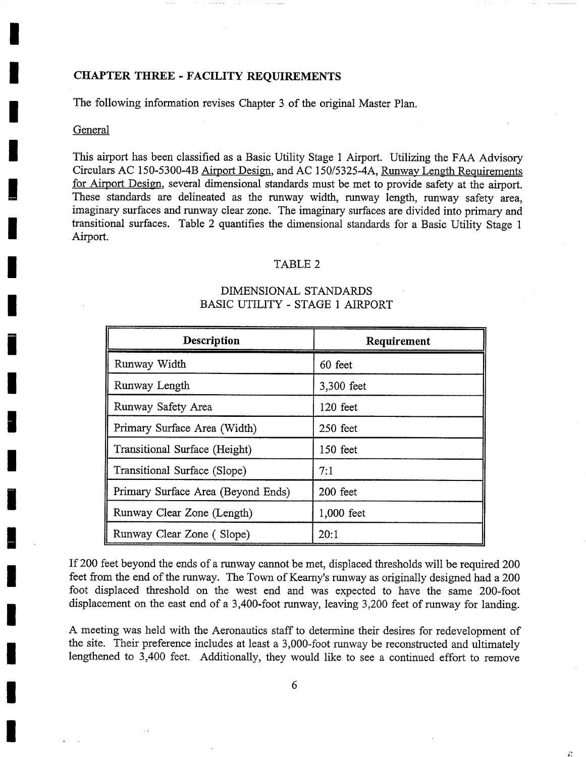#### **I CHAPTER THREE - FACILITY REQUIREMENTS**

The following information revises Chapter 3 of the original Master Plan.

## General

**1** 

This airport has been classified as a Basic Utility Stage 1 Airport. Utilizing the FAA Advisory Circulars AC 150-5300-4B Airport Design, and AC 150/5325-4A, Runway Length Requirements for Airport Design, several dimensional standards must be met to provide safety at the airport. These standards are delineated as the runway width, runway length, runway safety area, imaginary surfaces and runway clear zone. The imaginary surfaces are divided into primary and transitional surfaces. Table 2 quantifies the dimensional standards for a Basic Utility Stage 1 Airport.

## TABLE 2

# DIMENSIONAL STANDARDS BASIC UTILITY - STAGE 1 AIRPORT

| <b>Description</b>                 | Requirement |
|------------------------------------|-------------|
| Runway Width                       | 60 feet     |
| Runway Length                      | 3,300 feet  |
| Runway Safety Area                 | 120 feet    |
| Primary Surface Area (Width)       | $250$ feet  |
| Transitional Surface (Height)      | $150$ feet  |
| Transitional Surface (Slope)       | 7.1         |
| Primary Surface Area (Beyond Ends) | 200 feet    |
| Runway Clear Zone (Length)         | 1,000 feet  |
| Runway Clear Zone (Slope)          | 20:1        |

If 200 feet beyond the ends of a runway cannot be met, displaced thresholds will be required 200 feet from the end of the runway. The Town of Kearny's runway as originally designed had a 200 foot displaced threshold on the west end and was expected to have the same 200-foot displacement on the east end of a 3,400-foot runway, leaving 3,200 feet of runway for landing.

A meeting was held with the Aeronautics staff to determine their desires for redevelopment of the site. Their preference includes at least a 3,000-foot runway be reconstructed and ultimately lengthened to 3,400 feet. Additionally, they would like to see a continued effort to remove

6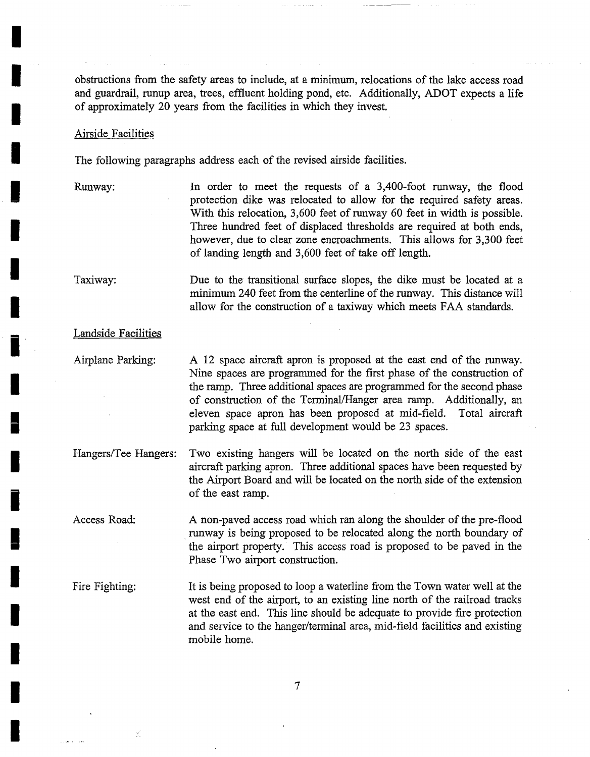obstructions from the safety areas to include, at a minimum, relocations of the lake access road and guardrail, runup area, trees, effluent holding pond, etc. Additionally, ADOT expects a life of approximately 20 years from the facilities in which they invest.

#### Airside Facilities

**I** 

**I** 

**I** 

**I** 

**I** 

**I** 

**I** 

**I** 

**i** 

**I** 

**I** 

**I** 

**i** 

**l** 

**I** 

**I** 

**I** 

**I** 

**I** 

The following paragraphs address each of the revised airside facilities.

Runway: In order to meet the requests of a 3,400-foot runway, the flood protection dike was relocated to allow for the required safety areas. With this relocation, 3,600 feet of runway 60 feet in width is possible. Three hundred feet of displaced thresholds are required at both ends, however, due to clear zone encroachments. This allows for 3,300 feet of landing length and 3,600 feet of take off length.

Taxiway: Due to the transitional surface slopes, the dike must be located at a minimum 240 feet from the centerline of the runway. This distance will allow for the construction of a taxiway which meets FAA standards.

Landside Facilities

Airplane Parking: A 12 space aircraft apron is proposed at the east end of the runway. Nine spaces are programmed for the first phase of the construction of the ramp. Three additional spaces are programmed for the second phase of construction of the Terminal/Hanger area ramp. Additionally, an eleven space apron has been proposed at mid-field. Total aircraft parking space at full development would be 23 spaces.

Hangers/Tee Hangers: Two existing hangers will be located on the north side of the east aircraft parking apron. Three additional spaces have been requested by the Airport Board and will be located on the north side of the extension of the east ramp.

Access Road: A non-paved access road which ran along the shoulder of the pre-fiood • runway is being proposed to be relocated along the north boundary of the airport property. This access road is proposed to be paved in the Phase Two airport construction.

Fire Fighting: It is being proposed to loop a waterline from the Town water well at the west end of the airport, to an existing line north of the railroad tracks at the east end. This line should be adequate to provide fire protection and service to the hanger/terminal area, mid-field facilities and existing mobile home.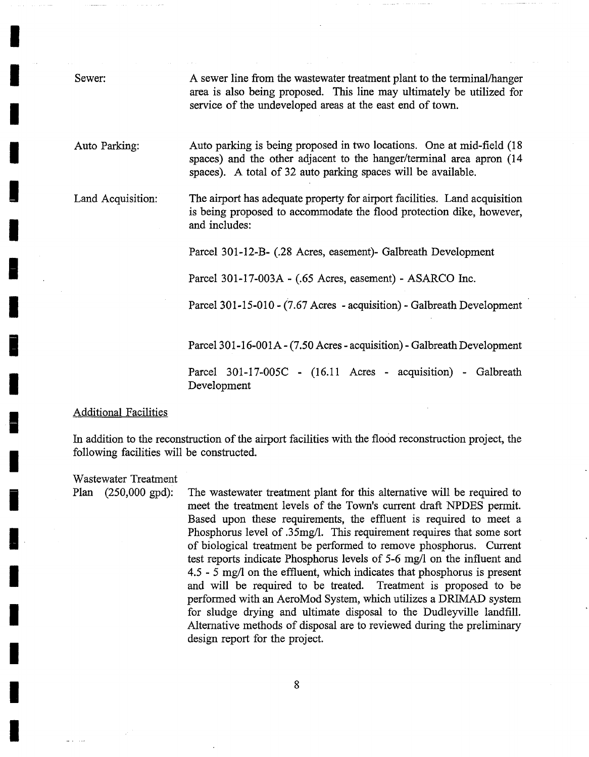Sewer: A sewer line from the wastewater treatment plant to the terminal/hanger area is also being proposed. This line may ultimately be utilized for service of the undeveloped areas at the east end of town.

Auto Parking:

Auto parking is being proposed in two locations. One at mid-field (18 spaces) and the other adjacent to the hanger/terminal area apron (14 spaces). A total of 32 auto parking spaces will be available.

Land Acquisition:

The airport has adequate property for airport facilities. Land acquisition is being proposed to accommodate the flood protection dike, however, and includes:

Parcel 301-12-B- (.28 Acres, easement)- Galbreath Development

Parcel 301-17-003A - (.65 Acres, easement) - ASARCO Inc.

Parcel 301-15-010 - (7.67 Acres - acquisition) - Galbreath Development

Parcel 301-16-001A - (7.50 Acres - acquisition) - Galbreath Development

Parcel 301-17-005C - (16.11 Acres - acquisition) - Galbreath Development

Additional Facilities

In addition to the reconstruction of the airport facilities with the flood reconstruction project, the following facilities will be constructed.

Wastewater Treatment

Plan (250,000 gpd): The wastewater treatment plant for this alternative will be required to meet the treatment levels of the Town's current draft NPDES permit. Based upon these requirements, the effluent is required to meet a Phosphorus level of .35mg/l. This requirement requires that some sort of biological treatment be performed to remove phosphorus. Current test reports indicate Phosphorus levels of 5-6 mg/1 on the influent and 4.5 - 5 mg/1 on the effluent, which indicates that phosphorus is present and will be required to be treated. Treatment is proposed to be performed with an AeroMod System, which utilizes a DRIMAD system for sludge drying and ultimate disposal to the Dudleyville landfill. Alternative methods of disposal are to reviewed during the preliminary design report for the project.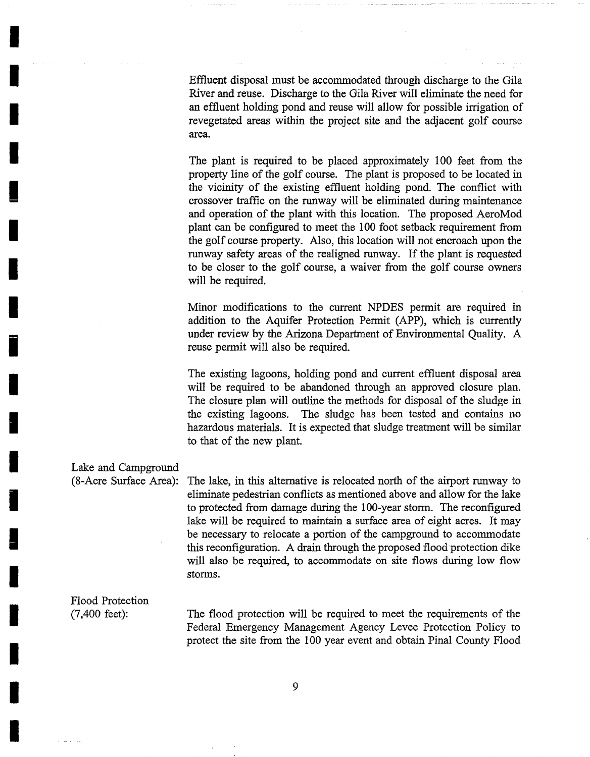Effluent disposal must be accommodated through discharge to the Gila River and reuse. Discharge to the Gila River will eliminate the need for an effluent holding pond and reuse will allow for possible irrigation of revegetated areas within the project site and the adjacent golf course area.

The plant is required to be placed approximately 100 feet from the property line of the golf course. The plant is proposed to be located in the vicinity of the existing effluent holding pond. The conflict with crossover traffic on the runway will be eliminated during maintenance and operation of the plant with this location. The proposed AeroMod plant can be configured to meet the 100 foot setback requirement from the golf course property. Also, this location will not encroach upon the runway safety areas of the realigned runway. If the plant is requested to be closer to the golf course, a waiver from the golf course owners will be required.

Minor modifications to the current NPDES permit are required in addition to the Aquifer Protection Permit (APP), which is currently under review by the Arizona Department of Environmental Quality. A reuse permit will also be required.

The existing lagoons, holding pond and current effluent disposal area will be required to be abandoned through an approved closure plan. The closure plan will outline the methods for disposal of the sludge in the existing lagoons. The sludge has been tested and contains no hazardous materials. It is expected that sludge treatment will be similar to that of the new plant.

Lake and Campground (8-Acre Surface Area):

The lake, in this alternative is relocated north of the airport runway to eliminate pedestrian conflicts as mentioned above and allow for the lake to protected from damage during the 100-year storm. The reconfigured lake will be required to maintain a surface area of eight acres. It may be necessary to relocate a portion of the campground to accommodate this reconfiguration. A drain through the proposed flood protection dike will also be required, to accommodate on site flows during low flow storms.

Flood Protection (7,400 feet):

m ......

The flood protection will be required to meet the requirements of the Federal Emergency Management Agency Levee Protection Policy to protect the site from the 100 year event and obtain Pinal County Flood

9